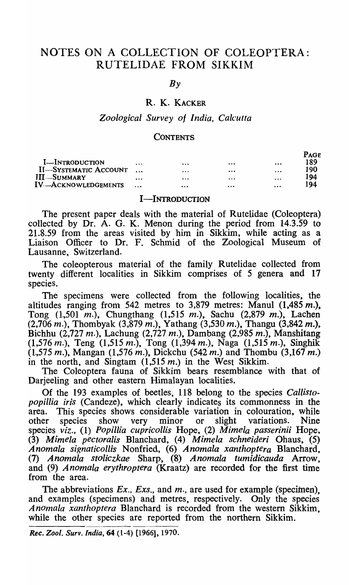# NOTES ON A COLLECTION OF COLEOPTERA: RUTELIDAE FROM SIKKIM

*By* 

## R. K. KACKER

## *Zoological Survey of India, Calcutta*

#### **CONTENTS**

|                              |   |          |          |                     | <b>PAGE</b> |
|------------------------------|---|----------|----------|---------------------|-------------|
| <b>I</b> -INTRODUCTION       | . | $\cdots$ |          | $\cdots$            | 189         |
| <b>II-SYSTEMATIC ACCOUNT</b> |   | $\cdots$ | $\cdots$ | $\cdot \cdot \cdot$ | 190         |
| III-SUMMARY                  | . | $\cdots$ | $\cdots$ | $\cdots$            | 194         |
| IV-ACKNOWLEDGEMENTS          |   | $\cdots$ | .        | $\cdots$            | 194         |

## I-INTRODUCTION

The present paper deals with the material of Rutelidae (Coleoptera) collected by Dr. A. G. K. Menon during the period from 14.3.59 to 21.8.59 from the areas visited by him in Sikkim, while acting as a Liaison Officer to Dr. F. Schmid of the Zoological Museum of Lausanne, Switzerland.

The coleopterous material of the family Rutelidae collected from twenty different localities in Sikkim comprises of 5 genera and 17 species.

The specimens were collected from the following localities, the altitudes ranging from 542 metres to 3,879 metres: Manul  $(1,485 \, m)$ , Tong  $(1,501 \, m.)$ , Chungthang  $(1,515 \, m.)$ , Sachu  $(2,879 \, m.)$ , Lachen  $(2,706 \, m.)$ , Thombyak  $(3,879 \, m.)$ , Yathang  $(3,530 \, m.)$ , Thangu  $(3,842 \, m.)$ , Bichhu (2,727 m.), Lachung (2,727 m.), Dambang (2,985 m.), Manshitang  $(1,576 \, m.)$ , Teng  $(1,515 \, m.)$ , Tong  $(1,394 \, m.)$ , Naga  $(1,515 \, m.)$ , Singhik  $(1,575 \, m.)$ , Mangan  $(1,576 \, m.)$ , Dickchu  $(542 \, m.)$  and Thombu  $(3,167 \, m.)$ in the north, and Singtam  $(1,515 \, \text{m})$  in the West Sikkim.

The Coleoptera fauna of Sikkim bears resemblance with that of Darjeeling and other eastern Himalayan localities.

Of the 193 examples of beetles, 118 belong to the species *Callisto*popillia iris (Candeze), which clearly indicates its commonness in the area. This species shows considerable variation in colouration, while other species show very minor or slight variations. Nine other species show very minor or slight variations. Nine species *viz.,* (1) *Popillia cupricollis* Hope, (2) *Mimela passerinii* Hope, *(3) Mimela pectoralis* Blanchard, (4) *Mimela schneideri* Ohaus, (5) *Anomala signaticollrs* Nonfried, (6) *Anomala xanthoptera* Blanchard, (7) ~nomala *stoliczkae* Sharp, (8) *Anomala tumidicauda* Arrow, and (9) *Anomala erythroptera* (Kraatz) are recorded for the first time from the area.

The abbreviations *Ex., Exs.,* and *m.,* are used for example (specimen), and examples (specimens) and metres, respectively. Only the species *Anomala xanthoptera* Blanchard is recorded from the western Sikkim, while the other species are reported from the northern Sikkim.

*Rec. Zool. Surv. India,* 64 (1-4) [1966], 1970.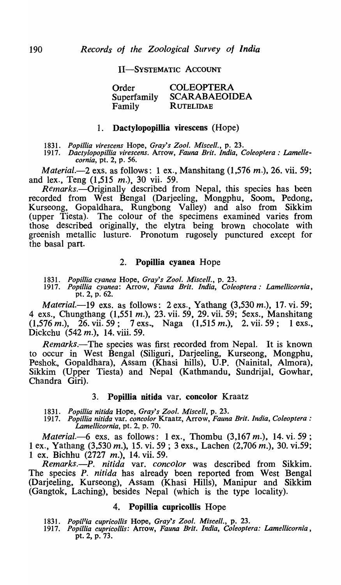## II-SYSTEMATIC ACCOUNT

Order Superfamily Family COLEOPTERA SCARABAEOIDEA **RUTELIDAE** 

## 1. Dactylopopillia virescens (Hope)

*1831. Popillia virescens* Hope, *Gray's Zool. Miscell.,* p. 23.

*1917. Dactylopopillia virescens.* Arrow, *Fauna Brit. India, Coleoptera: Lamellecornia,* pt. 2, p. 56.

*Material.-2* exs. as follows: 1 ex., Manshitang (1,576 *m.),* 26. vii. 59; and lex., Teng (1,515 m.), 30 vii. 59.

Remarks.—Originally described from Nepal, this species has been recorded from West Bengal (Darjeeling, Mongphu, Soom, Pedong, Kurseong, Gopaldhara., Rungbong Valley) and also from Sikkim (upper Tiesta). The colour of the specimens examined varies from those described originally, the elytra being brown chocolate with greenish metallic lusture. Pronotum rugosely punctured except for the basal part.

## 2. Popillia cyanea Hope

*1831. Popiliia cyanea* Hope, *Gray's Zool. Miscell.,* p. 23.

*1917. Popillia cyanea:* Arrow, *Fauna Brit. India, Coleoptera: Lamellicornia,*  pt. 2, p. 62.

*Material.-19* exs. as follows: 2 exs., Yathang (3,530 *m.),* 17. vi. 59; 4 exs., Chungthang (1,551 m.), 23. vii. 59, 29. vii. 59; 5exs., Manshitang  $(1,576 \, \text{m}.)$ , 26. vii. 59; 7 exs., Naga  $(1,515 \, \text{m}.)$ , 2. vii. 59; 1 exs., Dickchu (542 m.), 14. viii. 59.

*Remarks.-The* species was first recorded from Nepal. It is known to occur in West Bengal (Siliguri, Darjeeling, Kurseong, Mongphu, Peshok, Gopaldhara), Assam (Khasi hills), U.P. (Nainital, Almora), Sikkim (Upper Tiesta) and Nepal (Kathmandu, Sundrijal, Gowhar, Chandra Giri).

## 3. Popillia nitida var. concolor Kraatz

*1831. Popillia nitida* Hope, *Gray's Zool. Miscell,* p. 23.

*1917. Popillia nitida* yare *concolor* Kraatz, Arrow, *Fauna Brit. India, Coleoptera: Lamellicornia,* pt. 2, p. 70.

*Material.-6* exs. as follows: 1 ex., Thombu (3,167 *m.),* 14. vi. 59 ; 1 ex., Yathang (3,530 m.), 15. vi. 59 ; 3 exs., Lachen (2,706 m.), 30. vi.59; 1 ex. Bichhu (2727 m.), 14. vii. 59.

*Remarks.-P. nitida* var. *concolor* was described from Sikkim. The species P. *nitida* has already been reported from West Bengal (Darjeeling, Kurseong), Assam (Khasi Hills), Manipur and Sikkim (Gangtok, Laching), besides Nepal (which is the type locality).

## 4. Popillia cupricollis Hope

*1831. Popi/'ia cupricollis* Hope, *Gray's Zool. Miscell.,* p. 23.

*1917. Popillia cupricollis:* Arrow, *Fauna Brit. India, Coleoptera: Lamellicornia,*  pt. 2, p. 73.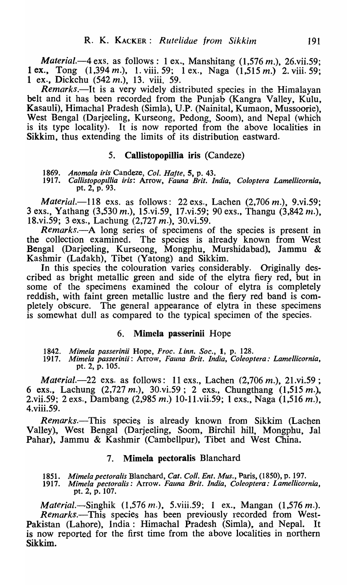*Material.*—4 exs. as follows: 1 ex., Manshitang (1,576 *m.*), 26.vii.59; 1 ex., Tong (1,394 m.), 1. viii. 59; 1 ex., Naga (1,515 m.) 2. viii. 59; 1 ex., Dickchu (542 m.), 13. viii. 59.

*Remarks.-It* is a very widely distributed species in the Himalayan belt and it has been recorded from the Punjab (Kangra Valley, Kulu, Kasauli), Himachal Pradesh (Simla), U.P. (Nainital, Kumaon, Mussoorie), West Bengal (Darjeeling, Kurseong, Pedong, Soom), and Nepal (which is its type locality). It is now reported from the above localities in Sikkim, thus extending the limits of its distribution eastward.

## 5. Callistopopillia iris (Candeze)

*1869. Anomala iris* Candeze, *Col. Hajte,* 5, p. 43.

*1917. Callistopop,lIia iris:* Arrow, *Fauna Brit. India, Coloptera Lamellicornia,*  pt. 2, p. 93.

*Material.-118* exs. as follows: 22 exs., Lachen (2,706 m.), 9.vi.59; 3 exs., Yathang (3.,530 m.), IS.vi.59, 17.vi.59; 90 exs., Thangu (3,842 *111.),*  18.vi.59; 3 exs., Lachung (2,727 m.), 30.vi.59.

*Remarks.*--A long series of specimens of the species is present in the collection examined. The species is already known from West Bengal (Darjeeling, Kurseong, Mongphu, Murshidabad), Jammu & Kashmir (Ladakh), Tibet (Yatong) and Sikkim.

In this species the colouration varies considerably. Originally described as bright metallic green and side of the elytra fiery red, but in some of the specimens examined the colour of elytra is completely reddish, with faint green metallic lustre and the fiery red band is completely obscure. The general appearance of elytra in these specimens is somewhat dull as compared to the typical specimen of the species.

## 6. Mimela passerinii Hope

*1842. Mimela passerinii* Hope, *Proc. Linn. Soc.,* 1, p. 128.

*1917. Mimela passerinii:* Arrow, *Fauna Brit. India, Coleoptera: Lamellicornia,*  pt. 2, p. 105.

*Material.*-22 exs. as follows: 11 exs., Lachen (2,706 m.), 21.vi.59; 6 exs., Lachung  $(2,727 \, \text{m.})$ ,  $30.\text{vi.59}$ ;  $2 \text{ exs.}$ , Chungthang (1,515 m.), 2.vii.59; 2 exs., Dambang (2,985 m.) IO-II.vii.59; 1 exs., Naga (1,516 m.), 4.viii.59.

*Remarks.-This* species is already known from Sikkim (Lachen Valley)., West Bengal (Darjeeling, Soom, Birchil hill, Mongphu, Jal Pahar), Jammu & Kashmir (Cambellpur), Tibet and West China.

## 7. Mimela pectoralis Blanchard

1851. *Mimela pectoralis Blanchard, Cat. Coll. Ent. Mus., Paris, (1850), p. 197.*<br>1917. *Mimela pectoralis: Arrow. Fauna Brit. India, Coleoptera: Lamellicor* 

*1917. Mimela pectoralis:* Arrow. *Fauna Brit. India, Coleoptera: Lamellicornia,*  pt. 2, p. 107.

*Material.*—Singhik  $(1,576 \, m.)$ , 5.viii.59; 1 ex., Mangan  $(1,576 \, m.)$ . *Remarks.-This* species has been previously recorded from West-Pakistan (Lahore), India: Himachal Pradesh (Simla), and Nepal. It is now reported for the first time from the above localities in northern Sikkim.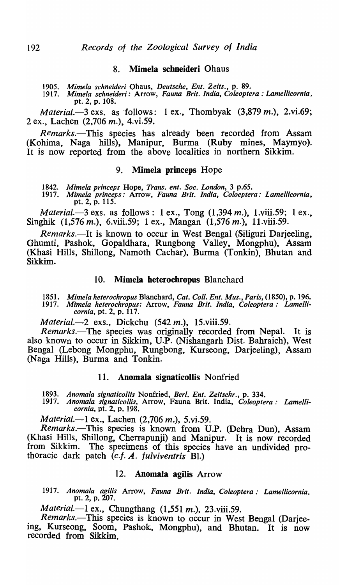## 8. Mimela scbneideri Ohaus

*1905. Mimela schneideri* Ohaus, *Deutsche, Ent. 2eits.,* p. 89.

*1917. Mimela schneideri:* Arrow, *Fauna Brit. India, Coleoptera: Lamellicornia,*  pt. 2, p. 108.

*Material.*-3 exs. as follows: 1 ex., Thombyak (3,879 *m.*), 2.vi.69; 2 ex., Lachen (2,706 m.), 4.vi.59.

*Remarks.-This* species has already been recorded from Assam (Kohima, Naga hills), Manipur, Burma (Ruby mines, Maymyo). It is now reported from the above localities in northern Sikkim.

#### 9. Mimela princeps Hope

1842. *Mimela princeps* Hope, *Trans. ent. Soc. London,* 3 p.65.

*1917. Mimela princeps:* Arrow, *Fauna Brit. India, Coloeptera: lamellicornia,*  pt. 2, p. 115.

*Material.-3* exs. as follows: 1 ex., Tong (1,394 *m.),* I.viii.59; 1 ex., Singhik (1,576 m.), 6.viii.59; 1 ex., Mangan (1,576 m.), 11.viii.59.

*Remarks.*-It is known to occur in West Bengal (Siliguri Darjeeling, Ghumti, Pashok, Gopaldhara, Rungbong Valley, Mongphu), Assam (Khasi Hills, Shillong, Namoth Cachar), Burma (Tonkin), Bhutan and Sikkim.

## 10. Mimela heterochropus Blanchard

1851. *Mimela heterochropus* Blanchard, *Cat. Coli. Ent. Mus., Paris,* (1850), p. 196. *1917. Mimela heterochropus:* Arrow, *Fauna Brit. India, Coleoptera: Lamellicornia, pt. 2, p. 117.* 

*Material.*-2 exs., Dickchu (542 m.), 15.viii.59.

*Remarks.-The* species was originally recorded from Nepal. It is also known to occur in Sikkim, U.P. (Nishangarh Dist. Bahraich), West Bengal (Lebong Mongphu, Rungbong, Kurseong, Darjeeling), Assam (Naga Hills), Burma and Tonkin.

## 11. Anomala signaticollis Nonfried

*1893. Anomala signaticollis* Nonfried, *Berl. Ent. Zeitschr.,* p. 334.

1917. *Anomala signaticol/is,* Arrow, Fauna Brit. India, *Coleoptera: Lamellicornia,* pt. 2, p. 198.

*Material.*-1 ex., Lachen (2,706 m.), 5.vi.59.

*Remarks.*—This species is known from U.P. (Dehra Dun), Assam (Khasi Hills., Shillong, Cherrapunji) and Manipur. It is now recorded from Sikkim. The specimens of this species have an undivided prothoracic dark patch (c.f. A. *fulviventris* Bl.)

## 12. Anomala agilis Arrow

*1917. Anomala agilis* Arrow, *Fauna Brit. India, Coleoptera: Lamellicornia,*  pt. 2, p. 207.

*Material.*-1 ex., Chungthang (1,551 *m.*), 23.viii.59.

*. Remarks.-This* species is known to occur in West Bengal (Darjeelng, Kurseong, Soom, Pashok, Mongphu), and Bhutan. It is now recorded from Sikkim.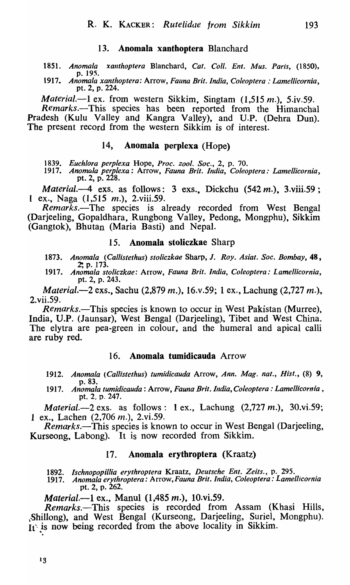## 13. Anomala xanthoptera Blanchard

*1851. Anomala xanthoptera* Blanchard, *Cat. Coil. Ent. Mus. Paris,* (1850), p. 195.

1917. *Anomala xanthoptera:* Arrow, *Fauna Brit. India, Coleoptera: Lamellicornia,*  pt. 2, p. 224.

*Material.-l* ex. from western Sikkim, Singtam (1,515 *m.),* 5.iv.59.

*Remarks.-This* species has been reported from the Himanchal Pradesh (Kulu Valley and Kangra Valley), and U.P. (Dehra Dun). The present record from the western Sikkim is of interest.

## 14, Anomala perplexa (Hope)

1839. *Euch/ora perplexa* Hope, *Proc. zool. Soc.,* 2, p. 70.

1917. *Anomtlla perplexa:* Arrow, *Fauna Brit. India, Coleoptera: Lamellicornia,*  pt. 2, p. 228.

*Material.-4* exS. as follows: 3 exs., Dickchu (542 *m.),* 3.viii.59; 1 ex., Naga  $(1,515 \, m.)$ , 2.viii.59.

*Remarks.-The* species is already recorded from West Bengal (Darjeeling, Gopaldhara, Rungbong Valley, Pedong, Mongphu), Sikkim (Gangtok), Bhutan (Maria Basti) and Nepal.

## 15. Anomala stoliczkae Sharp

1873. *Anomala (Callistethus) stolicz.kae* Sharp, J. *Roy. Asia!. Soc. Bombay,* 48, ?, p. 173.

1917. *Anomala stoliczkae:* Arrow, *Fauna Brit. India, Coleoptera: Lamellicornia,*  pt. 2, p. 243.

*Material.-2* exs., Sachu (2,879 m.), 16.v.59; 1 ex., Lachung (2,727 m.)., 2.vii.59.

*Remarks.*—This species is known to occur in West Pakistan (Murree), India, V.P. (Jaunsar), West Bengal (Darjeeling)., Tibet and West China. The elytra are pea-green in colour, and the humeral and apical calli are ruby red.

## 16. Anomala tumidicauda Arrow

- 1912. *Anomala (Callistethus) tumidicauda* Arrow, *Ann. Mag. nat., Hist.,* (8) 9, p.83.
- 1917. *Anomala tumidicauda:* Arrow, *Fauna Brit. India, Coleoptera: Lamellicornia,*  pt. 2, p. 247.

*Material.*-2 exs. as follows: 1 ex., Lachung  $(2,727 \, \text{m.})$ , 30.vi.59; 1 ex., Lachen (2,706 m.), 2.vi.59.

*Remarks.*—This species is known to occur in West Bengal (Darjeeling, Kurseong, Labong). It is now recorded from Sikkim.

#### 17. Anomala erythroptera (Kraatz)

1892. *Ischnopopillia erythroptera* Kraatz, *Deutsche Ent. Zeits.,* p. 295.

1917. *Anomala erythroptera: Arrow,Fauna Brit. India, Coleoptera: Lamellicornia*  pt. 2, p. 262.

*Material.-l* ex., Manul (1,485 *m.),* IO.vi.59.

*Remarks.-This* species is recorded from Assam (Khasi Hills, \Shillong), and West Bengal (Kurseong, Darjeeling, Suriel, Mongphu). It is now being recorded from the above locality in Sikkim.